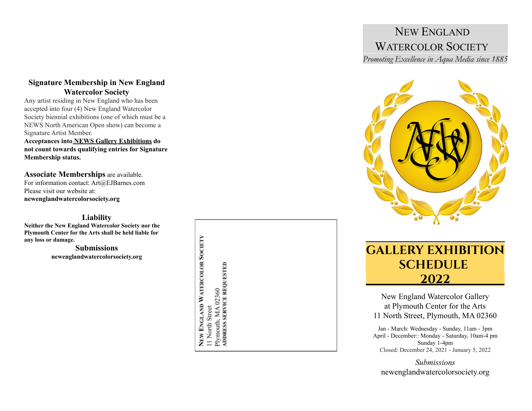## $-1.1$ NEW ENGLAND WATERCOLOR SOCIETY

-

-

*Promoting* Excellence in Aqua Media since 1885



# **GALLERY EXHIBITION SCHEDULE\_\_\_\_\_\_ \_\_\_\_\_\_\_\_\_2022\_\_\_\_\_\_\_\_\_**

New England Watercolor Gallery at Plymouth Center for the Arts 11 North Street, Plymouth, MA 02360

Jan - March: Wednesday - Sunday, 11am - 3pm April - December:: Monday - Saturday, 10am-4 pm Sunday 1-4pm Closed: December 24, 2021 - January 5, 2022

*Submissions* newenglandwatercolorsociety.or g

### **Signature Membership in New England Watercolor Society**

Any artist residing in New England who has been accepted into four (4) New England Watercolor Society biennial exhibitions (one of which must be a NEWS North American Open show) can become a Signature Artist Member.

**Acceptances into NEWS Gallery Exhibitions do not count towards qualifying entries for Signature Membership status.**

Associate Memberships are available. For information contact: Art@EJBarnes.com Please visit our website at: **newenglandwatercolorsociety.org**

### **Liability**

**Neither the New England Watercolor Society nor the Plymouth Center for the Arts shall be held liable for any loss or damage.**

> **Submissions** newenglandwatercolorsociety.org

NEW ENGLAND WATERCOLOR SOCIETY Plymouth, MA 02360<br>ADDRESS SERVICE REQUESTED 11 North Street